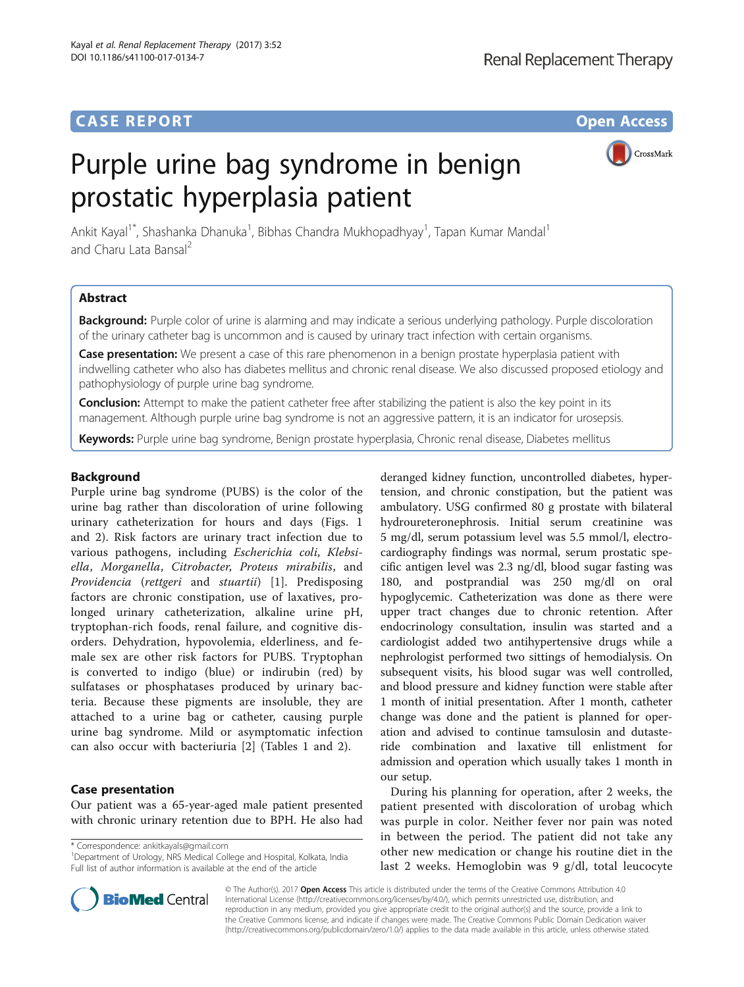# **CASE REPORT CASE REPORT CASE REPORT**

Renal Replacement Therapy

# Purple urine bag syndrome in benign prostatic hyperplasia patient



Ankit Kayal<sup>1\*</sup>, Shashanka Dhanuka<sup>1</sup>, Bibhas Chandra Mukhopadhyay<sup>1</sup>, Tapan Kumar Mandal<sup>1</sup> and Charu Lata Bansal<sup>2</sup>

## Abstract

Background: Purple color of urine is alarming and may indicate a serious underlying pathology. Purple discoloration of the urinary catheter bag is uncommon and is caused by urinary tract infection with certain organisms.

Case presentation: We present a case of this rare phenomenon in a benign prostate hyperplasia patient with indwelling catheter who also has diabetes mellitus and chronic renal disease. We also discussed proposed etiology and pathophysiology of purple urine bag syndrome.

Conclusion: Attempt to make the patient catheter free after stabilizing the patient is also the key point in its management. Although purple urine bag syndrome is not an aggressive pattern, it is an indicator for urosepsis.

Keywords: Purple urine bag syndrome, Benign prostate hyperplasia, Chronic renal disease, Diabetes mellitus

### Background

Purple urine bag syndrome (PUBS) is the color of the urine bag rather than discoloration of urine following urinary catheterization for hours and days (Figs. [1](#page-1-0) and [2](#page-1-0)). Risk factors are urinary tract infection due to various pathogens, including Escherichia coli, Klebsiella, Morganella, Citrobacter, Proteus mirabilis, and Providencia (rettgeri and stuartii) [[1\]](#page-3-0). Predisposing factors are chronic constipation, use of laxatives, prolonged urinary catheterization, alkaline urine pH, tryptophan-rich foods, renal failure, and cognitive disorders. Dehydration, hypovolemia, elderliness, and female sex are other risk factors for PUBS. Tryptophan is converted to indigo (blue) or indirubin (red) by sulfatases or phosphatases produced by urinary bacteria. Because these pigments are insoluble, they are attached to a urine bag or catheter, causing purple urine bag syndrome. Mild or asymptomatic infection can also occur with bacteriuria [\[2\]](#page-3-0) (Tables [1](#page-1-0) and [2\)](#page-2-0).

## Case presentation

Our patient was a 65-year-aged male patient presented with chronic urinary retention due to BPH. He also had

\* Correspondence: [ankitkayals@gmail.com](mailto:ankitkayals@gmail.com) <sup>1</sup>



During his planning for operation, after 2 weeks, the patient presented with discoloration of urobag which was purple in color. Neither fever nor pain was noted in between the period. The patient did not take any other new medication or change his routine diet in the last 2 weeks. Hemoglobin was 9 g/dl, total leucocyte



© The Author(s). 2017 **Open Access** This article is distributed under the terms of the Creative Commons Attribution 4.0 International License [\(http://creativecommons.org/licenses/by/4.0/](http://creativecommons.org/licenses/by/4.0/)), which permits unrestricted use, distribution, and reproduction in any medium, provided you give appropriate credit to the original author(s) and the source, provide a link to the Creative Commons license, and indicate if changes were made. The Creative Commons Public Domain Dedication waiver [\(http://creativecommons.org/publicdomain/zero/1.0/](http://creativecommons.org/publicdomain/zero/1.0/)) applies to the data made available in this article, unless otherwise stated.

<sup>&</sup>lt;sup>1</sup>Department of Urology, NRS Medical College and Hospital, Kolkata, India Full list of author information is available at the end of the article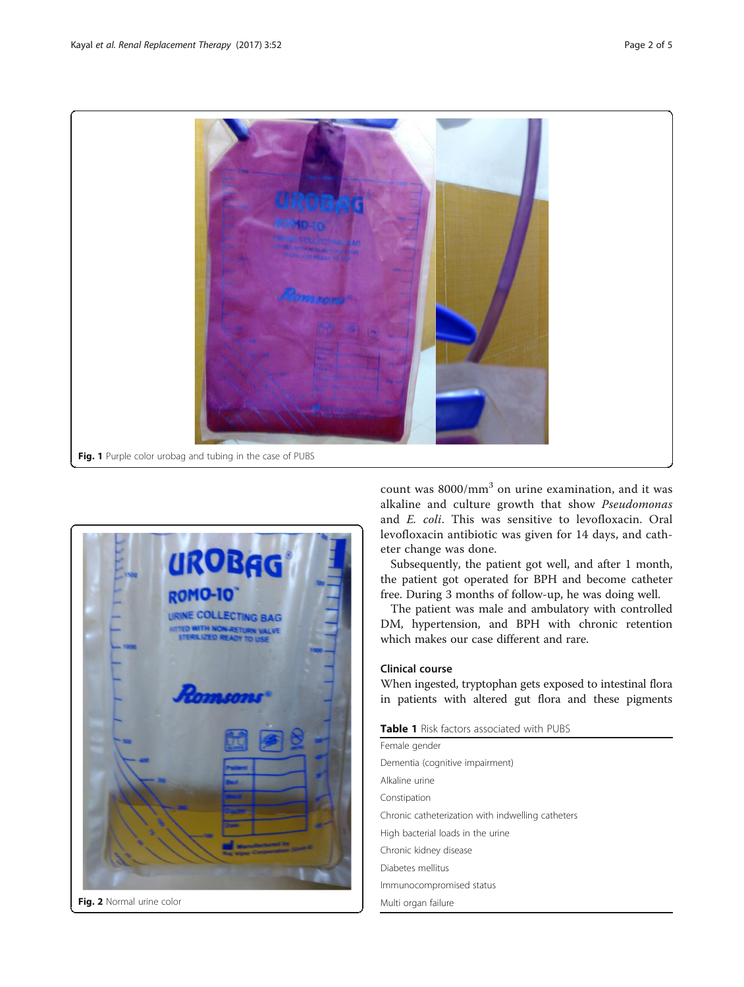<span id="page-1-0"></span>



Fig. 2 Normal urine color

count was  $8000/mm^3$  on urine examination, and it was alkaline and culture growth that show Pseudomonas and E. coli. This was sensitive to levofloxacin. Oral levofloxacin antibiotic was given for 14 days, and catheter change was done.

Subsequently, the patient got well, and after 1 month, the patient got operated for BPH and become catheter free. During 3 months of follow-up, he was doing well.

The patient was male and ambulatory with controlled DM, hypertension, and BPH with chronic retention which makes our case different and rare.

## Clinical course

When ingested, tryptophan gets exposed to intestinal flora in patients with altered gut flora and these pigments

## Table 1 Risk factors associated with PUBS

Female gender Dementia (cognitive impairment) Alkaline urine Constipation Chronic catheterization with indwelling catheters High bacterial loads in the urine Chronic kidney disease Diabetes mellitus Immunocompromised status Multi organ failure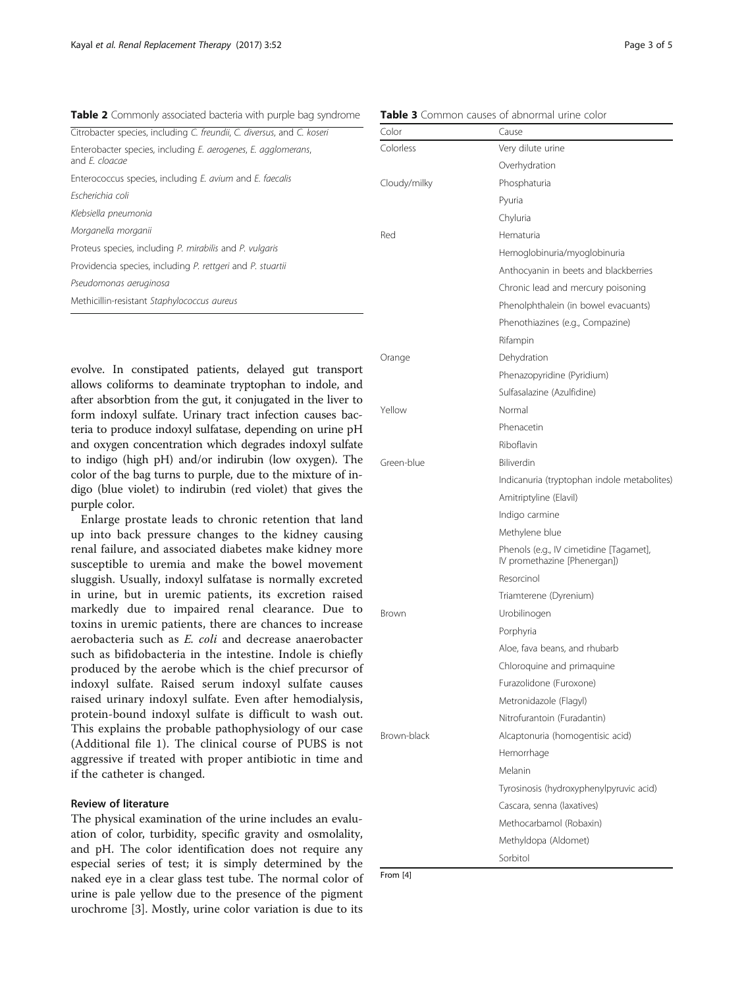<span id="page-2-0"></span>

| Table 2 Commonly associated bacteria with purple bag syndrome |  |
|---------------------------------------------------------------|--|
|---------------------------------------------------------------|--|

| Citrobacter species, including C. freundii, C. diversus, and C. koseri          |
|---------------------------------------------------------------------------------|
|                                                                                 |
| Enterobacter species, including E. aerogenes, E. agglomerans,<br>and E. cloacae |
| Enterococcus species, including E. avium and E. faecalis                        |
| Escherichia coli                                                                |
| Klebsiella pneumonia                                                            |
| Morganella morganii                                                             |
| Proteus species, including P. mirabilis and P. vulgaris                         |
| Providencia species, including P. rettgeri and P. stuartii                      |
| Pseudomonas aeruginosa                                                          |
| Methicillin-resistant Staphylococcus aureus                                     |

evolve. In constipated patients, delayed gut transport allows coliforms to deaminate tryptophan to indole, and after absorbtion from the gut, it conjugated in the liver to form indoxyl sulfate. Urinary tract infection causes bacteria to produce indoxyl sulfatase, depending on urine pH and oxygen concentration which degrades indoxyl sulfate to indigo (high pH) and/or indirubin (low oxygen). The color of the bag turns to purple, due to the mixture of indigo (blue violet) to indirubin (red violet) that gives the purple color.

Enlarge prostate leads to chronic retention that land up into back pressure changes to the kidney causing renal failure, and associated diabetes make kidney more susceptible to uremia and make the bowel movement sluggish. Usually, indoxyl sulfatase is normally excreted in urine, but in uremic patients, its excretion raised markedly due to impaired renal clearance. Due to toxins in uremic patients, there are chances to increase aerobacteria such as E. coli and decrease anaerobacter such as bifidobacteria in the intestine. Indole is chiefly produced by the aerobe which is the chief precursor of indoxyl sulfate. Raised serum indoxyl sulfate causes raised urinary indoxyl sulfate. Even after hemodialysis, protein-bound indoxyl sulfate is difficult to wash out. This explains the probable pathophysiology of our case (Additional file [1](#page-3-0)). The clinical course of PUBS is not aggressive if treated with proper antibiotic in time and if the catheter is changed.

## Review of literature

The physical examination of the urine includes an evaluation of color, turbidity, specific gravity and osmolality, and pH. The color identification does not require any especial series of test; it is simply determined by the naked eye in a clear glass test tube. The normal color of urine is pale yellow due to the presence of the pigment urochrome [\[3](#page-3-0)]. Mostly, urine color variation is due to its

| Color        | Cause                                                                   |
|--------------|-------------------------------------------------------------------------|
| Colorless    | Very dilute urine                                                       |
|              | Overhydration                                                           |
| Cloudy/milky | Phosphaturia                                                            |
|              | Pyuria                                                                  |
|              | Chyluria                                                                |
| Red          | Hematuria                                                               |
|              | Hemoglobinuria/myoglobinuria                                            |
|              | Anthocyanin in beets and blackberries                                   |
|              | Chronic lead and mercury poisoning                                      |
|              | Phenolphthalein (in bowel evacuants)                                    |
|              | Phenothiazines (e.g., Compazine)                                        |
|              | Rifampin                                                                |
| Orange       | Dehydration                                                             |
|              | Phenazopyridine (Pyridium)                                              |
|              | Sulfasalazine (Azulfidine)                                              |
| Yellow       | Normal                                                                  |
|              | Phenacetin                                                              |
|              | Riboflavin                                                              |
| Green-blue   | Biliverdin                                                              |
|              | Indicanuria (tryptophan indole metabolites)                             |
|              | Amitriptyline (Elavil)                                                  |
|              | Indigo carmine                                                          |
|              | Methylene blue                                                          |
|              | Phenols (e.g., IV cimetidine [Tagamet],<br>IV promethazine [Phenergan]) |
|              | Resorcinol                                                              |
|              | Triamterene (Dyrenium)                                                  |
| Brown        | Urobilinogen                                                            |
|              | Porphyria                                                               |
|              | Aloe, fava beans, and rhubarb                                           |
|              | Chloroquine and primaquine                                              |
|              | Furazolidone (Furoxone)                                                 |
|              | Metronidazole (Flagyl)                                                  |
|              | Nitrofurantoin (Furadantin)                                             |
| Brown-black  | Alcaptonuria (homogentisic acid)                                        |
|              | Hemorrhage                                                              |
|              | Melanin                                                                 |

Tyrosinosis (hydroxyphenylpyruvic acid)

Cascara, senna (laxatives) Methocarbamol (Robaxin) Methyldopa (Aldomet)

Sorbitol

## Table 3 Common causes of abnormal urine color

From [\[4\]](#page-3-0)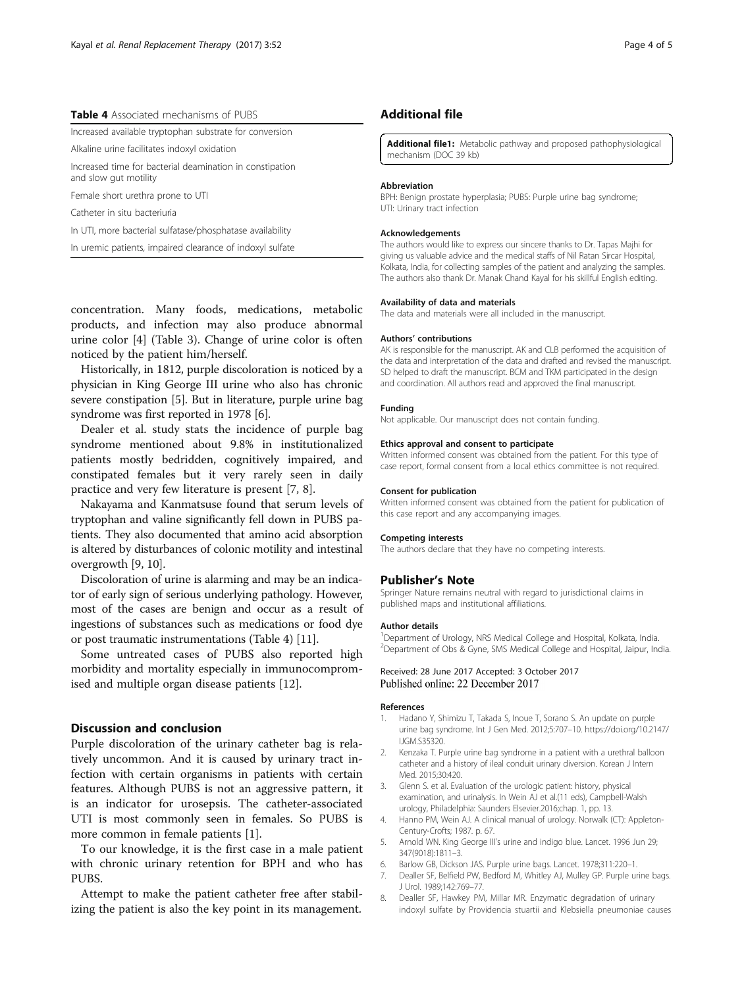#### <span id="page-3-0"></span>Table 4 Associated mechanisms of PUBS

Increased available tryptophan substrate for conversion

Alkaline urine facilitates indoxyl oxidation

Increased time for bacterial deamination in constipation and slow gut motility

Female short urethra prone to UTI

Catheter in situ bacteriuria

In UTI, more bacterial sulfatase/phosphatase availability

In uremic patients, impaired clearance of indoxyl sulfate

## Additional file

[Additional file1:](dx.doi.org/10.1186/s41100-017-0134-7) Metabolic pathway and proposed pathophysiological mechanism (DOC 39 kb)

#### Abbreviation

BPH: Benign prostate hyperplasia; PUBS: Purple urine bag syndrome; UTI: Urinary tract infection

#### Acknowledgements

The authors would like to express our sincere thanks to Dr. Tapas Majhi for giving us valuable advice and the medical staffs of Nil Ratan Sircar Hospital, Kolkata, India, for collecting samples of the patient and analyzing the samples. The authors also thank Dr. Manak Chand Kayal for his skillful English editing.

#### Availability of data and materials

The data and materials were all included in the manuscript.

#### Authors' contributions

AK is responsible for the manuscript. AK and CLB performed the acquisition of the data and interpretation of the data and drafted and revised the manuscript. SD helped to draft the manuscript. BCM and TKM participated in the design and coordination. All authors read and approved the final manuscript.

#### Funding

Not applicable. Our manuscript does not contain funding.

#### Ethics approval and consent to participate

Written informed consent was obtained from the patient. For this type of case report, formal consent from a local ethics committee is not required.

#### Consent for publication

Written informed consent was obtained from the patient for publication of this case report and any accompanying images.

#### Competing interests

The authors declare that they have no competing interests.

#### Publisher's Note

Springer Nature remains neutral with regard to jurisdictional claims in published maps and institutional affiliations.

#### Author details

<sup>1</sup> Department of Urology, NRS Medical College and Hospital, Kolkata, India <sup>2</sup> Department of Obs & Gyne, SMS Medical College and Hospital, Jaipur, India.

#### Received: 28 June 2017 Accepted: 3 October 2017 Published online: 22 December 2017

#### References

- 1. Hadano Y, Shimizu T, Takada S, Inoue T, Sorano S. An update on purple urine bag syndrome. Int J Gen Med. 2012;5:707–10. [https://doi.org/10.2147/](http://dx.doi.org/10.2147/IJGM.S35320) [IJGM.S35320](http://dx.doi.org/10.2147/IJGM.S35320).
- 2. Kenzaka T. Purple urine bag syndrome in a patient with a urethral balloon catheter and a history of ileal conduit urinary diversion. Korean J Intern Med. 2015;30:420.
- 3. Glenn S. et al. Evaluation of the urologic patient: history, physical examination, and urinalysis. In Wein AJ et al.(11 eds), Campbell-Walsh urology, Philadelphia: Saunders Elsevier.2016;chap. 1, pp. 13.
- 4. Hanno PM, Wein AJ. A clinical manual of urology. Norwalk (CT): Appleton-Century-Crofts; 1987. p. 67.
- 5. Arnold WN. King George III's urine and indigo blue. Lancet. 1996 Jun 29; 347(9018):1811–3.
- 6. Barlow GB, Dickson JAS. Purple urine bags. Lancet. 1978;311:220–1.
- 7. Dealler SF, Belfield PW, Bedford M, Whitley AJ, Mulley GP. Purple urine bags. J Urol. 1989;142:769–77.
- 8. Dealler SF, Hawkey PM, Millar MR. Enzymatic degradation of urinary indoxyl sulfate by Providencia stuartii and Klebsiella pneumoniae causes

concentration. Many foods, medications, metabolic products, and infection may also produce abnormal urine color [4] (Table [3\)](#page-2-0). Change of urine color is often noticed by the patient him/herself.

Historically, in 1812, purple discoloration is noticed by a physician in King George III urine who also has chronic severe constipation [5]. But in literature, purple urine bag syndrome was first reported in 1978 [6].

Dealer et al. study stats the incidence of purple bag syndrome mentioned about 9.8% in institutionalized patients mostly bedridden, cognitively impaired, and constipated females but it very rarely seen in daily practice and very few literature is present [7, 8].

Nakayama and Kanmatsuse found that serum levels of tryptophan and valine significantly fell down in PUBS patients. They also documented that amino acid absorption is altered by disturbances of colonic motility and intestinal overgrowth [\[9, 10](#page-4-0)].

Discoloration of urine is alarming and may be an indicator of early sign of serious underlying pathology. However, most of the cases are benign and occur as a result of ingestions of substances such as medications or food dye or post traumatic instrumentations (Table 4) [\[11](#page-4-0)].

Some untreated cases of PUBS also reported high morbidity and mortality especially in immunocompromised and multiple organ disease patients [[12](#page-4-0)].

## Discussion and conclusion

Purple discoloration of the urinary catheter bag is relatively uncommon. And it is caused by urinary tract infection with certain organisms in patients with certain features. Although PUBS is not an aggressive pattern, it is an indicator for urosepsis. The catheter-associated UTI is most commonly seen in females. So PUBS is more common in female patients [1].

To our knowledge, it is the first case in a male patient with chronic urinary retention for BPH and who has PUBS.

Attempt to make the patient catheter free after stabilizing the patient is also the key point in its management.